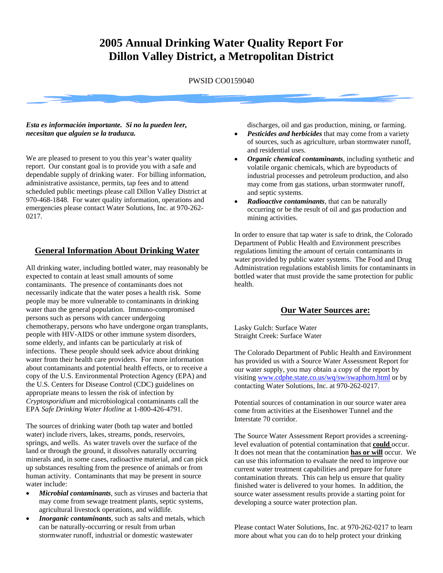# **2005 Annual Drinking Water Quality Report For Dillon Valley District, a Metropolitan District**

PWSID CO0159040

#### *Esta es información importante. Si no la pueden leer, necesitan que alguien se la traduzca.*

We are pleased to present to you this year's water quality report. Our constant goal is to provide you with a safe and dependable supply of drinking water. For billing information, administrative assistance, permits, tap fees and to attend scheduled public meetings please call Dillon Valley District at 970-468-1848. For water quality information, operations and emergencies please contact Water Solutions, Inc. at 970-262- 0217.

## **General Information About Drinking Water**

All drinking water, including bottled water, may reasonably be expected to contain at least small amounts of some contaminants. The presence of contaminants does not necessarily indicate that the water poses a health risk. Some people may be more vulnerable to contaminants in drinking water than the general population. Immuno-compromised persons such as persons with cancer undergoing chemotherapy, persons who have undergone organ transplants, people with HIV-AIDS or other immune system disorders, some elderly, and infants can be particularly at risk of infections. These people should seek advice about drinking water from their health care providers. For more information about contaminants and potential health effects, or to receive a copy of the U.S. Environmental Protection Agency (EPA) and the U.S. Centers for Disease Control (CDC) guidelines on appropriate means to lessen the risk of infection by *Cryptosporidium* and microbiological contaminants call the EPA *Safe Drinking Water Hotline* at 1-800-426-4791.

The sources of drinking water (both tap water and bottled water) include rivers, lakes, streams, ponds, reservoirs, springs, and wells. As water travels over the surface of the land or through the ground, it dissolves naturally occurring minerals and, in some cases, radioactive material, and can pick up substances resulting from the presence of animals or from human activity. Contaminants that may be present in source water include:

- *Microbial contaminants,* such as viruses and bacteria that may come from sewage treatment plants, septic systems, agricultural livestock operations, and wildlife*.*
- *Inorganic contaminants,* such as salts and metals, which can be naturally-occurring or result from urban stormwater runoff, industrial or domestic wastewater

discharges, oil and gas production, mining, or farming.

- *Pesticides and herbicides* that may come from a variety of sources, such as agriculture, urban stormwater runoff, and residential uses.
- *Organic chemical contaminants,* including synthetic and volatile organic chemicals, which are byproducts of industrial processes and petroleum production, and also may come from gas stations, urban stormwater runoff, and septic systems.
- *Radioactive contaminants,* that can be naturally occurring or be the result of oil and gas production and mining activities.

In order to ensure that tap water is safe to drink, the Colorado Department of Public Health and Environment prescribes regulations limiting the amount of certain contaminants in water provided by public water systems. The Food and Drug Administration regulations establish limits for contaminants in bottled water that must provide the same protection for public health.

### **Our Water Sources are:**

Lasky Gulch: Surface Water Straight Creek: Surface Water

The Colorado Department of Public Health and Environment has provided us with a Source Water Assessment Report for our water supply, you may obtain a copy of the report by visiting [www.cdphe.state.co.us/wq/sw/swaphom.html](http://www.cdphe.state.co.us/wq/sw/swaphom.html) or by contacting Water Solutions, Inc. at 970-262-0217.

Potential sources of contamination in our source water area come from activities at the Eisenhower Tunnel and the Interstate 70 corridor.

The Source Water Assessment Report provides a screeninglevel evaluation of potential contamination that **could** occur. It does not mean that the contamination **has or will** occur. We can use this information to evaluate the need to improve our current water treatment capabilities and prepare for future contamination threats. This can help us ensure that quality finished water is delivered to your homes. In addition, the source water assessment results provide a starting point for developing a source water protection plan.

Please contact Water Solutions, Inc. at 970-262-0217 to learn more about what you can do to help protect your drinking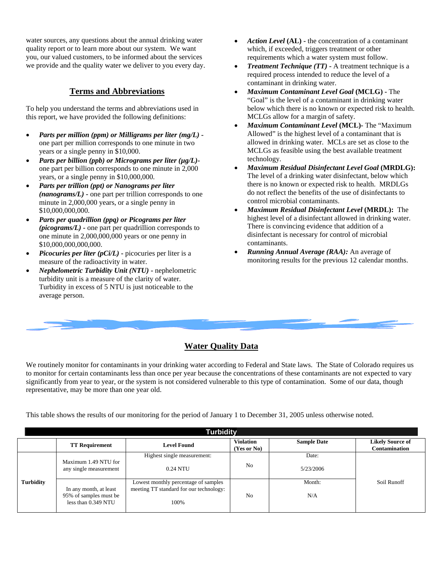water sources, any questions about the annual drinking water quality report or to learn more about our system. We want you, our valued customers, to be informed about the services we provide and the quality water we deliver to you every day.

## **Terms and Abbreviations**

To help you understand the terms and abbreviations used in this report, we have provided the following definitions:

- *Parts per million (ppm) or Milligrams per liter (mg/L)* one part per million corresponds to one minute in two years or a single penny in \$10,000.
- *Parts per billion (ppb) or Micrograms per liter (µg/L)* one part per billion corresponds to one minute in 2,000 years, or a single penny in \$10,000,000.
- *Parts per trillion (ppt) or Nanograms per liter (nanograms/L)* **-** one part per trillion corresponds to one minute in 2,000,000 years, or a single penny in \$10,000,000,000.
- *Parts per quadrillion (ppq) or Picograms per liter (picograms/L)* **-** one part per quadrillion corresponds to one minute in 2,000,000,000 years or one penny in \$10,000,000,000,000.
- *Picocuries per liter (pCi/L)* **-** picocuries per liter is a measure of the radioactivity in water.
- *Nephelometric Turbidity Unit (NTU)* **-** nephelometric turbidity unit is a measure of the clarity of water. Turbidity in excess of 5 NTU is just noticeable to the average person.
- *Action Level* **(AL) -** the concentration of a contaminant which, if exceeded, triggers treatment or other requirements which a water system must follow.
- *Treatment Technique (TT)* **-** A treatment technique is a required process intended to reduce the level of a contaminant in drinking water.
- *Maximum Contaminant Level Goal* **(MCLG) -** The "Goal" is the level of a contaminant in drinking water below which there is no known or expected risk to health. MCLGs allow for a margin of safety.
- *Maximum Contaminant Level* **(MCL)-** The "Maximum Allowed" is the highest level of a contaminant that is allowed in drinking water. MCLs are set as close to the MCLGs as feasible using the best available treatment technology.
- *Maximum Residual Disinfectant Level Goal* **(MRDLG):** The level of a drinking water disinfectant, below which there is no known or expected risk to health. MRDLGs do not reflect the benefits of the use of disinfectants to control microbial contaminants.
- *Maximum Residual Disinfectant Level* **(MRDL):** The highest level of a disinfectant allowed in drinking water. There is convincing evidence that addition of a disinfectant is necessary for control of microbial contaminants.
- *Running Annual Average (RAA):* An average of monitoring results for the previous 12 calendar months.

## **Water Quality Data**

We routinely monitor for contaminants in your drinking water according to Federal and State laws. The State of Colorado requires us to monitor for certain contaminants less than once per year because the concentrations of these contaminants are not expected to vary significantly from year to year, or the system is not considered vulnerable to this type of contamination. Some of our data, though representative, may be more than one year old.

This table shows the results of our monitoring for the period of January 1 to December 31, 2005 unless otherwise noted.

| <b>Turbidity</b> |                                                  |                                         |                                 |                    |                                                 |  |  |  |  |  |
|------------------|--------------------------------------------------|-----------------------------------------|---------------------------------|--------------------|-------------------------------------------------|--|--|--|--|--|
|                  | <b>TT Requirement</b>                            | <b>Level Found</b>                      | <b>Violation</b><br>(Yes or No) | <b>Sample Date</b> | <b>Likely Source of</b><br><b>Contamination</b> |  |  |  |  |  |
|                  | Maximum 1.49 NTU for                             | Highest single measurement:             |                                 | Date:              |                                                 |  |  |  |  |  |
| <b>Turbidity</b> | any single measurement                           | 0.24 NTU                                | No                              | 5/23/2006          |                                                 |  |  |  |  |  |
|                  |                                                  | Lowest monthly percentage of samples    |                                 | Month:             | Soil Runoff                                     |  |  |  |  |  |
|                  | In any month, at least<br>95% of samples must be | meeting TT standard for our technology: | No                              | N/A                |                                                 |  |  |  |  |  |
|                  | less than 0.349 NTU                              | 100%                                    |                                 |                    |                                                 |  |  |  |  |  |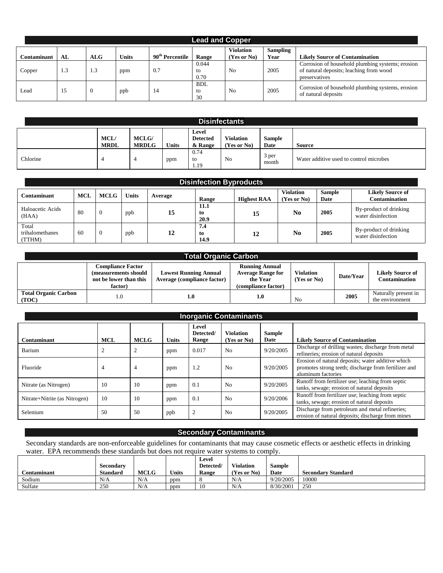|                    | <b>Lead and Copper</b> |            |              |                             |                        |                                 |                         |                                                                                                              |  |  |  |
|--------------------|------------------------|------------|--------------|-----------------------------|------------------------|---------------------------------|-------------------------|--------------------------------------------------------------------------------------------------------------|--|--|--|
| <b>Contaminant</b> | AL                     | <b>ALG</b> | <b>Units</b> | 90 <sup>th</sup> Percentile | Range                  | <b>Violation</b><br>(Yes or No) | <b>Sampling</b><br>Year | <b>Likely Source of Contamination</b>                                                                        |  |  |  |
| Copper             | .3                     | 1.3        | ppm          | 0.7                         | 0.044<br>to<br>0.70    | N <sub>0</sub>                  | 2005                    | Corrosion of household plumbing systems; erosion<br>of natural deposits; leaching from wood<br>preservatives |  |  |  |
| Lead               |                        |            | ppb          | 14                          | <b>BDL</b><br>to<br>30 | N <sub>o</sub>                  | 2005                    | Corrosion of household plumbing systems, erosion<br>of natural deposits                                      |  |  |  |

| <b>Disinfectants</b> |                           |                              |              |                                     |                                 |                |                                         |  |  |
|----------------------|---------------------------|------------------------------|--------------|-------------------------------------|---------------------------------|----------------|-----------------------------------------|--|--|
|                      | <b>MCL</b><br><b>MRDL</b> | <b>MCLG/</b><br><b>MRDLG</b> | <b>Units</b> | Level<br><b>Detected</b><br>& Range | <b>Violation</b><br>(Yes or No) | Sample<br>Date | Source                                  |  |  |
| Chlorine             |                           |                              | ppm          | 0.74<br>to<br>1.19                  | N <sub>0</sub>                  | 3 per<br>month | Water additive used to control microbes |  |  |

| <b>Disinfection Byproducts</b>     |            |             |              |         |                    |                    |                                 |                       |                                              |
|------------------------------------|------------|-------------|--------------|---------|--------------------|--------------------|---------------------------------|-----------------------|----------------------------------------------|
| Contaminant                        | <b>MCL</b> | <b>MCLG</b> | <b>Units</b> | Average | Range              | <b>Highest RAA</b> | <b>Violation</b><br>(Yes or No) | <b>Sample</b><br>Date | <b>Likely Source of</b><br>Contamination     |
| Haloacetic Acids<br>(HAA)          | 80         | 0           | ppb          | 15      | 11.1<br>to<br>20.9 | 15                 | No.                             | 2005                  | By-product of drinking<br>water disinfection |
| Total<br>trihalomethanes<br>(TTHM) | 60         | C           | ppb          | 12      | 7.4<br>to<br>14.9  | 12                 | N <sub>0</sub>                  | 2005                  | By-product of drinking<br>water disinfection |

| <b>Total Organic Carbon</b>          |                                                                                       |                                                                    |                                                                                      |                                     |           |                                                 |  |  |  |  |
|--------------------------------------|---------------------------------------------------------------------------------------|--------------------------------------------------------------------|--------------------------------------------------------------------------------------|-------------------------------------|-----------|-------------------------------------------------|--|--|--|--|
|                                      | <b>Compliance Factor</b><br>(measurements should<br>not be lower than this<br>factor) | <b>Lowest Running Annual</b><br><b>Average (compliance factor)</b> | <b>Running Annual</b><br><b>Average Range for</b><br>the Year<br>(compliance factor) | <b>Violation</b><br>$(Yes$ or $No)$ | Date/Year | <b>Likely Source of</b><br><b>Contamination</b> |  |  |  |  |
| <b>Total Organic Carbon</b><br>(TOC) |                                                                                       | 1.0                                                                | 1.0                                                                                  | N <sub>0</sub>                      | 2005      | Naturally present in<br>the environment         |  |  |  |  |

| <b>Inorganic Contaminants</b> |            |             |              |                             |                                 |                       |                                                                                                                                 |  |  |
|-------------------------------|------------|-------------|--------------|-----------------------------|---------------------------------|-----------------------|---------------------------------------------------------------------------------------------------------------------------------|--|--|
| Contaminant                   | <b>MCL</b> | <b>MCLG</b> | <b>Units</b> | Level<br>Detected/<br>Range | <b>Violation</b><br>(Yes or No) | <b>Sample</b><br>Date | <b>Likely Source of Contamination</b>                                                                                           |  |  |
| Barium                        |            |             | ppm          | 0.017                       | N <sub>0</sub>                  | 9/20/2005             | Discharge of drilling wastes; discharge from metal<br>refineries; erosion of natural deposits                                   |  |  |
| Fluoride                      | 4          | 4           | ppm          | 1.2                         | N <sub>o</sub>                  | 9/20/2005             | Erosion of natural deposits; water additive which<br>promotes strong teeth; discharge from fertilizer and<br>aluminum factories |  |  |
| Nitrate (as Nitrogen)         | 10         | 10          | ppm          | 0.1                         | No                              | 9/20/2005             | Runoff from fertilizer use; leaching from septic<br>tanks, sewage; erosion of natural deposits                                  |  |  |
| Nitrate+Nitrite (as Nitrogen) | 10         | 10          | ppm          | 0.1                         | N <sub>0</sub>                  | 9/20/2006             | Runoff from fertilizer use; leaching from septic<br>tanks, sewage; erosion of natural deposits                                  |  |  |
| Selenium                      | 50         | 50          | ppb          | $\overline{2}$              | N <sub>0</sub>                  | 9/20/2005             | Discharge from petroleum and metal refineries;<br>erosion of natural deposits; discharge from mines                             |  |  |

#### **Secondary Contaminants**

Secondary standards are non-enforceable guidelines for contaminants that may cause cosmetic effects or aesthetic effects in drinking water. EPA recommends these standards but does not require water systems to comply.

|                    |                 |             |              | Level     |                  |               |                           |
|--------------------|-----------------|-------------|--------------|-----------|------------------|---------------|---------------------------|
|                    | Secondary       |             |              | Detected/ | <b>Violation</b> | <b>Sample</b> |                           |
| <b>Contaminant</b> | <b>Standard</b> | <b>MCLG</b> | <b>Units</b> | Range     | (Yes or No)      | Date          | <b>Secondary Standard</b> |
| Sodium             | N/A             | N/A         | ppm          |           | N/A              | 9/20/2005     | 10000                     |
| Sulfate            | 250             | N/A         | ppm          | 10        | N/A              | 8/30/2001     | 250                       |